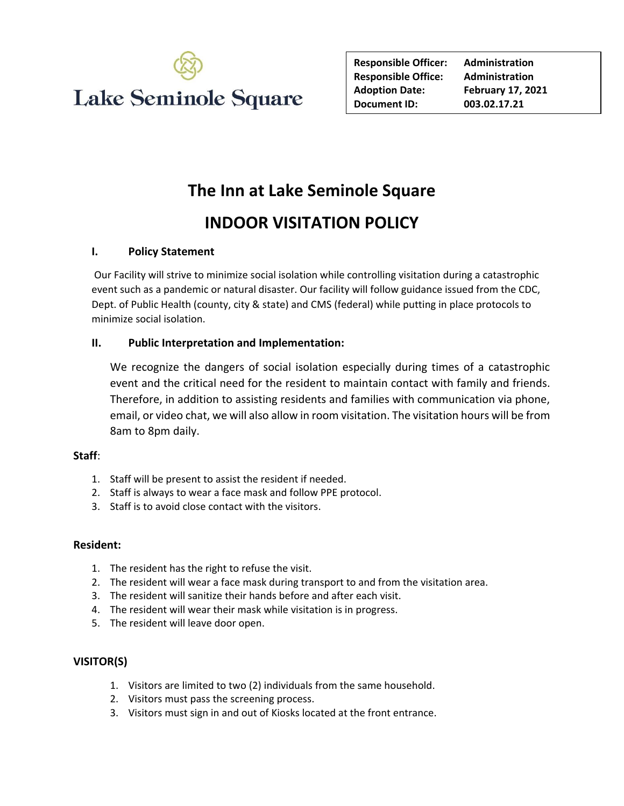

| <b>Responsible Officer:</b> | <b>Administration</b>    |
|-----------------------------|--------------------------|
| <b>Responsible Office:</b>  | <b>Administration</b>    |
| <b>Adoption Date:</b>       | <b>February 17, 2021</b> |
| Document ID:                | 003.02.17.21             |

# **The Inn at Lake Seminole Square**

# **INDOOR VISITATION POLICY**

### **I. Policy Statement**

Our Facility will strive to minimize social isolation while controlling visitation during a catastrophic event such as a pandemic or natural disaster. Our facility will follow guidance issued from the CDC, Dept. of Public Health (county, city & state) and CMS (federal) while putting in place protocols to minimize social isolation.

### **II. Public Interpretation and Implementation:**

We recognize the dangers of social isolation especially during times of a catastrophic event and the critical need for the resident to maintain contact with family and friends. Therefore, in addition to assisting residents and families with communication via phone, email, or video chat, we will also allow in room visitation. The visitation hours will be from 8am to 8pm daily.

#### **Staff**:

- 1. Staff will be present to assist the resident if needed.
- 2. Staff is always to wear a face mask and follow PPE protocol.
- 3. Staff is to avoid close contact with the visitors.

#### **Resident:**

- 1. The resident has the right to refuse the visit.
- 2. The resident will wear a face mask during transport to and from the visitation area.
- 3. The resident will sanitize their hands before and after each visit.
- 4. The resident will wear their mask while visitation is in progress.
- 5. The resident will leave door open.

## **VISITOR(S)**

- 1. Visitors are limited to two (2) individuals from the same household.
- 2. Visitors must pass the screening process.
- 3. Visitors must sign in and out of Kiosks located at the front entrance.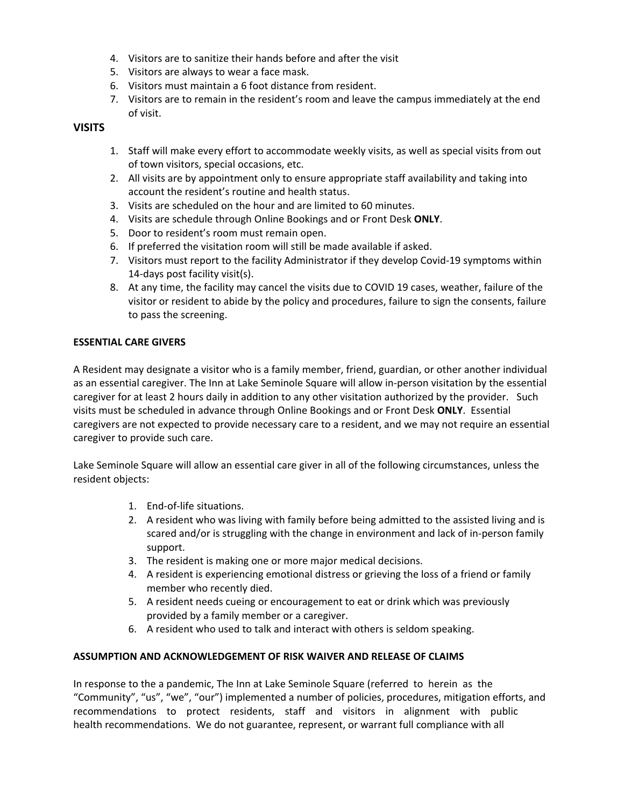- 4. Visitors are to sanitize their hands before and after the visit
- 5. Visitors are always to wear a face mask.
- 6. Visitors must maintain a 6 foot distance from resident.
- 7. Visitors are to remain in the resident's room and leave the campus immediately at the end of visit.

### **VISITS**

- 1. Staff will make every effort to accommodate weekly visits, as well as special visits from out of town visitors, special occasions, etc.
- 2. All visits are by appointment only to ensure appropriate staff availability and taking into account the resident's routine and health status.
- 3. Visits are scheduled on the hour and are limited to 60 minutes.
- 4. Visits are schedule through Online Bookings and or Front Desk **ONLY**.
- 5. Door to resident's room must remain open.
- 6. If preferred the visitation room will still be made available if asked.
- 7. Visitors must report to the facility Administrator if they develop Covid-19 symptoms within 14-days post facility visit(s).
- 8. At any time, the facility may cancel the visits due to COVID 19 cases, weather, failure of the visitor or resident to abide by the policy and procedures, failure to sign the consents, failure to pass the screening.

#### **ESSENTIAL CARE GIVERS**

A Resident may designate a visitor who is a family member, friend, guardian, or other another individual as an essential caregiver. The Inn at Lake Seminole Square will allow in-person visitation by the essential caregiver for at least 2 hours daily in addition to any other visitation authorized by the provider. Such visits must be scheduled in advance through Online Bookings and or Front Desk **ONLY**. Essential caregivers are not expected to provide necessary care to a resident, and we may not require an essential caregiver to provide such care.

Lake Seminole Square will allow an essential care giver in all of the following circumstances, unless the resident objects:

- 1. End-of-life situations.
- 2. A resident who was living with family before being admitted to the assisted living and is scared and/or is struggling with the change in environment and lack of in-person family support.
- 3. The resident is making one or more major medical decisions.
- 4. A resident is experiencing emotional distress or grieving the loss of a friend or family member who recently died.
- 5. A resident needs cueing or encouragement to eat or drink which was previously provided by a family member or a caregiver.
- 6. A resident who used to talk and interact with others is seldom speaking.

#### **ASSUMPTION AND ACKNOWLEDGEMENT OF RISK WAIVER AND RELEASE OF CLAIMS**

In response to the a pandemic, The Inn at Lake Seminole Square (referred to herein as the "Community", "us", "we", "our") implemented a number of policies, procedures, mitigation efforts, and recommendations to protect residents, staff and visitors in alignment with public health recommendations. We do not guarantee, represent, or warrant full compliance with all